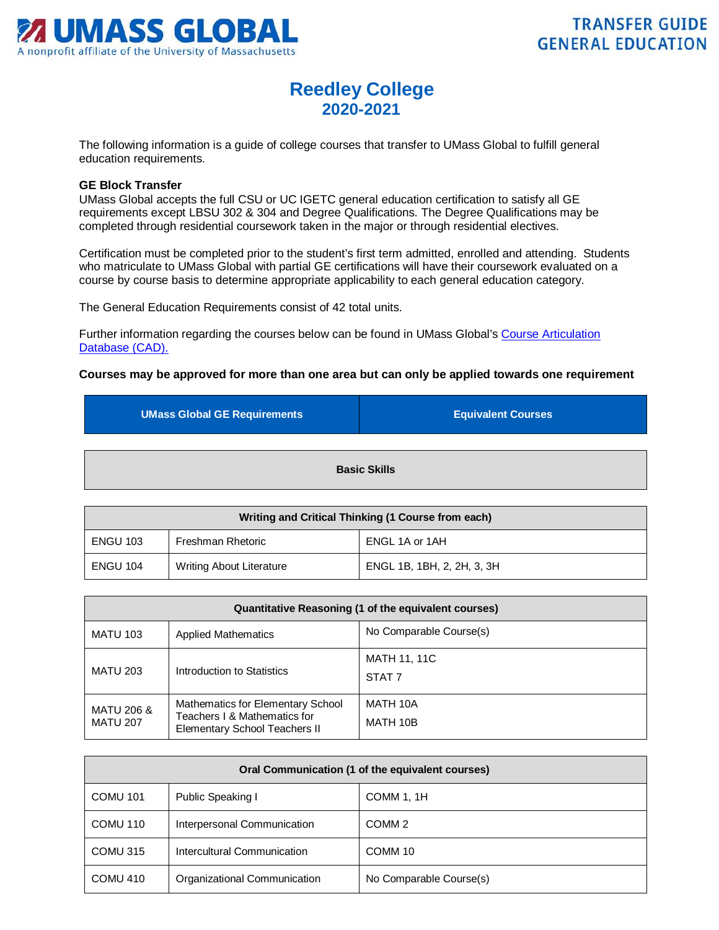

## **Reedley College 2020-2021**

The following information is a guide of college courses that transfer to UMass Global to fulfill general education requirements.

## **GE Block Transfer**

UMass Global accepts the full CSU or UC IGETC general education certification to satisfy all GE requirements except LBSU 302 & 304 and Degree Qualifications. The Degree Qualifications may be completed through residential coursework taken in the major or through residential electives.

Certification must be completed prior to the student's first term admitted, enrolled and attending. Students who matriculate to UMass Global with partial GE certifications will have their coursework evaluated on a course by course basis to determine appropriate applicability to each general education category.

The General Education Requirements consist of 42 total units.

Further information regarding the courses below can be found in UMass Global's [Course Articulation](http://services.umassglobal.edu/studentservices/TransferCredit/)  Database (CAD).

## **Courses may be approved for more than one area but can only be applied towards one requirement**

| <b>UMass Global GE Requirements</b> | <b>Equivalent Courses</b> |
|-------------------------------------|---------------------------|
| <b>Basic Skills</b>                 |                           |

| Writing and Critical Thinking (1 Course from each) |                                 |                            |
|----------------------------------------------------|---------------------------------|----------------------------|
| <b>ENGU 103</b>                                    | Freshman Rhetoric               | ENGL 1A or 1AH             |
| <b>ENGU 104</b>                                    | <b>Writing About Literature</b> | ENGL 1B, 1BH, 2, 2H, 3, 3H |

| Quantitative Reasoning (1 of the equivalent courses) |                                                                                                    |                                          |
|------------------------------------------------------|----------------------------------------------------------------------------------------------------|------------------------------------------|
| <b>MATU 103</b>                                      | <b>Applied Mathematics</b>                                                                         | No Comparable Course(s)                  |
| <b>MATU 203</b>                                      | Introduction to Statistics                                                                         | <b>MATH 11, 11C</b><br>STAT <sub>7</sub> |
| MATU 206 &<br><b>MATU 207</b>                        | Mathematics for Elementary School<br>Teachers I & Mathematics for<br>Elementary School Teachers II | MATH 10A<br>MATH 10B                     |

| Oral Communication (1 of the equivalent courses) |                              |                         |
|--------------------------------------------------|------------------------------|-------------------------|
| <b>COMU 101</b>                                  | Public Speaking I            | COMM 1, 1H              |
| COMU 110                                         | Interpersonal Communication  | COMM <sub>2</sub>       |
| COMU 315                                         | Intercultural Communication  | COMM <sub>10</sub>      |
| COMU 410                                         | Organizational Communication | No Comparable Course(s) |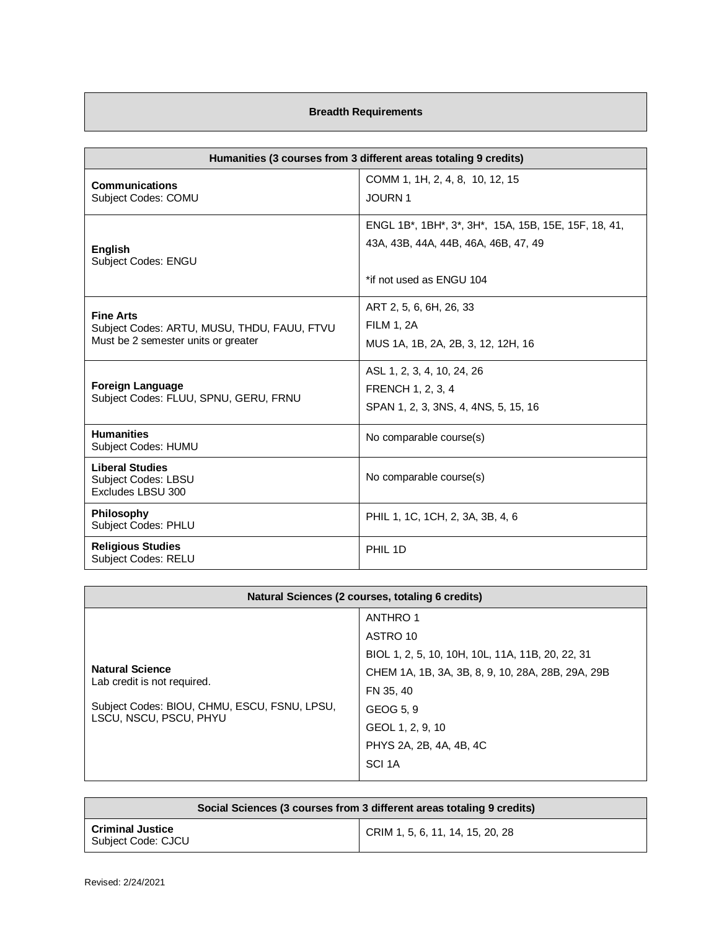## **Breadth Requirements**

| Humanities (3 courses from 3 different areas totaling 9 credits)                                       |                                                                                                                                                                              |
|--------------------------------------------------------------------------------------------------------|------------------------------------------------------------------------------------------------------------------------------------------------------------------------------|
| <b>Communications</b><br>Subject Codes: COMU                                                           | COMM 1, 1H, 2, 4, 8, 10, 12, 15<br><b>JOURN1</b>                                                                                                                             |
| <b>English</b><br>Subject Codes: ENGU                                                                  | ENGL 1B <sup>*</sup> , 1BH <sup>*</sup> , 3 <sup>*</sup> , 3H <sup>*</sup> , 15A, 15B, 15E, 15F, 18, 41,<br>43A, 43B, 44A, 44B, 46A, 46B, 47, 49<br>*if not used as ENGU 104 |
| <b>Fine Arts</b><br>Subject Codes: ARTU, MUSU, THDU, FAUU, FTVU<br>Must be 2 semester units or greater | ART 2, 5, 6, 6H, 26, 33<br><b>FILM 1, 2A</b><br>MUS 1A, 1B, 2A, 2B, 3, 12, 12H, 16                                                                                           |
| <b>Foreign Language</b><br>Subject Codes: FLUU, SPNU, GERU, FRNU                                       | ASL 1, 2, 3, 4, 10, 24, 26<br>FRENCH 1, 2, 3, 4<br>SPAN 1, 2, 3, 3NS, 4, 4NS, 5, 15, 16                                                                                      |
| <b>Humanities</b><br>Subject Codes: HUMU                                                               | No comparable course(s)                                                                                                                                                      |
| <b>Liberal Studies</b><br>Subject Codes: LBSU<br>Excludes LBSU 300                                     | No comparable course(s)                                                                                                                                                      |
| Philosophy<br><b>Subject Codes: PHLU</b>                                                               | PHIL 1, 1C, 1CH, 2, 3A, 3B, 4, 6                                                                                                                                             |
| <b>Religious Studies</b><br>Subject Codes: RELU                                                        | PHIL 1D                                                                                                                                                                      |

| Natural Sciences (2 courses, totaling 6 credits)                                                                                |                                                   |
|---------------------------------------------------------------------------------------------------------------------------------|---------------------------------------------------|
|                                                                                                                                 | ANTHRO 1                                          |
|                                                                                                                                 | ASTRO 10                                          |
|                                                                                                                                 | BIOL 1, 2, 5, 10, 10H, 10L, 11A, 11B, 20, 22, 31  |
| <b>Natural Science</b><br>Lab credit is not required.<br>Subject Codes: BIOU, CHMU, ESCU, FSNU, LPSU,<br>LSCU, NSCU, PSCU, PHYU | CHEM 1A, 1B, 3A, 3B, 8, 9, 10, 28A, 28B, 29A, 29B |
|                                                                                                                                 | FN 35, 40                                         |
|                                                                                                                                 | GEOG 5, 9                                         |
|                                                                                                                                 | GEOL 1, 2, 9, 10                                  |
|                                                                                                                                 | PHYS 2A, 2B, 4A, 4B, 4C                           |
|                                                                                                                                 | SCI <sub>1</sub> A                                |
|                                                                                                                                 |                                                   |

| Social Sciences (3 courses from 3 different areas totaling 9 credits) |                                  |
|-----------------------------------------------------------------------|----------------------------------|
| <b>Criminal Justice</b><br>Subject Code: CJCU                         | CRIM 1, 5, 6, 11, 14, 15, 20, 28 |